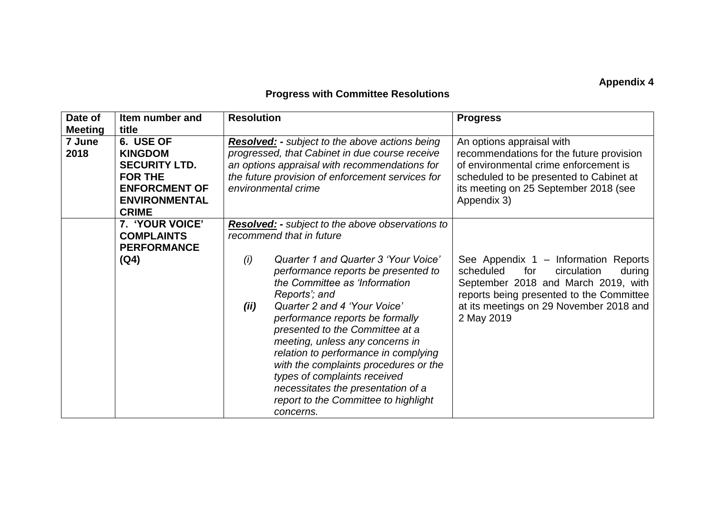## **Appendix 4**

## **Progress with Committee Resolutions**

| Date of<br><b>Meeting</b> | Item number and<br>title                                                                                                              | <b>Resolution</b>                                                                                                                                                                                                                                                                                                                                                                                                                                                                                                                                                                        | <b>Progress</b>                                                                                                                                                                                                               |
|---------------------------|---------------------------------------------------------------------------------------------------------------------------------------|------------------------------------------------------------------------------------------------------------------------------------------------------------------------------------------------------------------------------------------------------------------------------------------------------------------------------------------------------------------------------------------------------------------------------------------------------------------------------------------------------------------------------------------------------------------------------------------|-------------------------------------------------------------------------------------------------------------------------------------------------------------------------------------------------------------------------------|
| 7 June<br>2018            | 6. USE OF<br><b>KINGDOM</b><br><b>SECURITY LTD.</b><br><b>FOR THE</b><br><b>ENFORCMENT OF</b><br><b>ENVIRONMENTAL</b><br><b>CRIME</b> | <b>Resolved:</b> - subject to the above actions being<br>progressed, that Cabinet in due course receive<br>an options appraisal with recommendations for<br>the future provision of enforcement services for<br>environmental crime                                                                                                                                                                                                                                                                                                                                                      | An options appraisal with<br>recommendations for the future provision<br>of environmental crime enforcement is<br>scheduled to be presented to Cabinet at<br>its meeting on 25 September 2018 (see<br>Appendix 3)             |
|                           | 7. 'YOUR VOICE'<br><b>COMPLAINTS</b><br><b>PERFORMANCE</b><br>(Q4)                                                                    | <b>Resolved:</b> - subject to the above observations to<br>recommend that in future<br>Quarter 1 and Quarter 3 'Your Voice'<br>(i)<br>performance reports be presented to<br>the Committee as 'Information<br>Reports'; and<br>Quarter 2 and 4 'Your Voice'<br>(ii)<br>performance reports be formally<br>presented to the Committee at a<br>meeting, unless any concerns in<br>relation to performance in complying<br>with the complaints procedures or the<br>types of complaints received<br>necessitates the presentation of a<br>report to the Committee to highlight<br>concerns. | See Appendix 1 - Information Reports<br>scheduled<br>for<br>circulation<br>during<br>September 2018 and March 2019, with<br>reports being presented to the Committee<br>at its meetings on 29 November 2018 and<br>2 May 2019 |